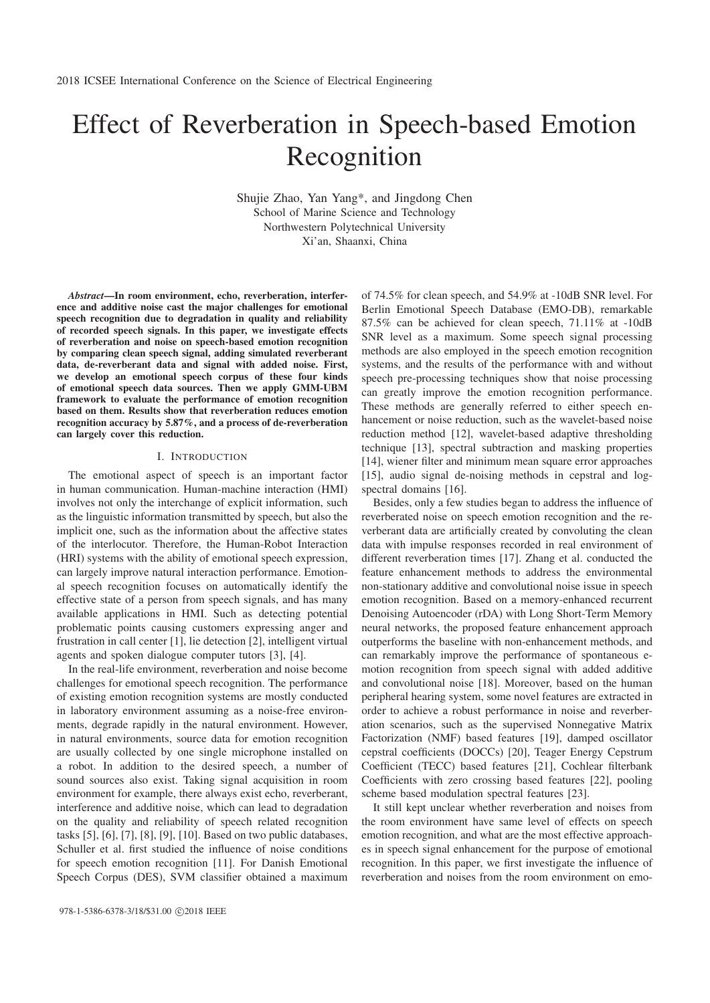# Effect of Reverberation in Speech-based Emotion Recognition

Shujie Zhao, Yan Yang\*, and Jingdong Chen School of Marine Science and Technology Northwestern Polytechnical University Xi'an, Shaanxi, China

*Abstract*—In room environment, echo, reverberation, interference and additive noise cast the major challenges for emotional speech recognition due to degradation in quality and reliability of recorded speech signals. In this paper, we investigate effects of reverberation and noise on speech-based emotion recognition by comparing clean speech signal, adding simulated reverberant data, de-reverberant data and signal with added noise. First, we develop an emotional speech corpus of these four kinds of emotional speech data sources. Then we apply GMM-UBM framework to evaluate the performance of emotion recognition based on them. Results show that reverberation reduces emotion recognition accuracy by 5.87%, and a process of de-reverberation can largely cover this reduction.

#### I. INTRODUCTION

The emotional aspect of speech is an important factor in human communication. Human-machine interaction (HMI) involves not only the interchange of explicit information, such as the linguistic information transmitted by speech, but also the implicit one, such as the information about the affective states of the interlocutor. Therefore, the Human-Robot Interaction (HRI) systems with the ability of emotional speech expression, can largely improve natural interaction performance. Emotional speech recognition focuses on automatically identify the effective state of a person from speech signals, and has many available applications in HMI. Such as detecting potential problematic points causing customers expressing anger and frustration in call center [1], lie detection [2], intelligent virtual agents and spoken dialogue computer tutors [3], [4].

In the real-life environment, reverberation and noise become challenges for emotional speech recognition. The performance of existing emotion recognition systems are mostly conducted in laboratory environment assuming as a noise-free environments, degrade rapidly in the natural environment. However, in natural environments, source data for emotion recognition are usually collected by one single microphone installed on a robot. In addition to the desired speech, a number of sound sources also exist. Taking signal acquisition in room environment for example, there always exist echo, reverberant, interference and additive noise, which can lead to degradation on the quality and reliability of speech related recognition tasks [5], [6], [7], [8], [9], [10]. Based on two public databases, Schuller et al. first studied the influence of noise conditions for speech emotion recognition [11]. For Danish Emotional Speech Corpus (DES), SVM classifier obtained a maximum

Berlin Emotional Speech Database (EMO-DB), remarkable 87.5% can be achieved for clean speech, 71.11% at -10dB SNR level as a maximum. Some speech signal processing methods are also employed in the speech emotion recognition systems, and the results of the performance with and without speech pre-processing techniques show that noise processing can greatly improve the emotion recognition performance. These methods are generally referred to either speech enhancement or noise reduction, such as the wavelet-based noise reduction method [12], wavelet-based adaptive thresholding technique [13], spectral subtraction and masking properties [14], wiener filter and minimum mean square error approaches [15], audio signal de-noising methods in cepstral and logspectral domains [16].

of 74.5% for clean speech, and 54.9% at -10dB SNR level. For

Besides, only a few studies began to address the influence of reverberated noise on speech emotion recognition and the reverberant data are artificially created by convoluting the clean data with impulse responses recorded in real environment of different reverberation times [17]. Zhang et al. conducted the feature enhancement methods to address the environmental non-stationary additive and convolutional noise issue in speech emotion recognition. Based on a memory-enhanced recurrent Denoising Autoencoder (rDA) with Long Short-Term Memory neural networks, the proposed feature enhancement approach outperforms the baseline with non-enhancement methods, and can remarkably improve the performance of spontaneous emotion recognition from speech signal with added additive and convolutional noise [18]. Moreover, based on the human peripheral hearing system, some novel features are extracted in order to achieve a robust performance in noise and reverberation scenarios, such as the supervised Nonnegative Matrix Factorization (NMF) based features [19], damped oscillator cepstral coefficients (DOCCs) [20], Teager Energy Cepstrum Coefficient (TECC) based features [21], Cochlear filterbank Coefficients with zero crossing based features [22], pooling scheme based modulation spectral features [23].

It still kept unclear whether reverberation and noises from the room environment have same level of effects on speech emotion recognition, and what are the most effective approaches in speech signal enhancement for the purpose of emotional recognition. In this paper, we first investigate the influence of reverberation and noises from the room environment on emo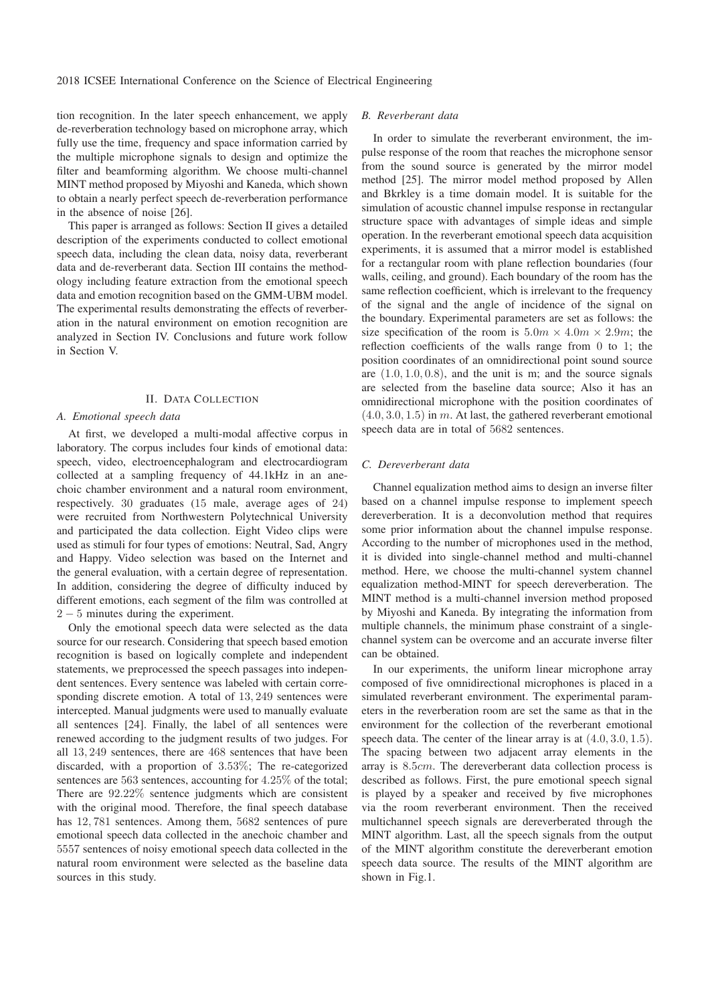tion recognition. In the later speech enhancement, we apply de-reverberation technology based on microphone array, which fully use the time, frequency and space information carried by the multiple microphone signals to design and optimize the filter and beamforming algorithm. We choose multi-channel MINT method proposed by Miyoshi and Kaneda, which shown to obtain a nearly perfect speech de-reverberation performance in the absence of noise [26].

This paper is arranged as follows: Section II gives a detailed description of the experiments conducted to collect emotional speech data, including the clean data, noisy data, reverberant data and de-reverberant data. Section III contains the methodology including feature extraction from the emotional speech data and emotion recognition based on the GMM-UBM model. The experimental results demonstrating the effects of reverberation in the natural environment on emotion recognition are analyzed in Section IV. Conclusions and future work follow in Section V.

# II. DATA COLLECTION

#### *A. Emotional speech data*

At first, we developed a multi-modal affective corpus in laboratory. The corpus includes four kinds of emotional data: speech, video, electroencephalogram and electrocardiogram collected at a sampling frequency of 44.1kHz in an anechoic chamber environment and a natural room environment, respectively. 30 graduates (15 male, average ages of 24) were recruited from Northwestern Polytechnical University and participated the data collection. Eight Video clips were used as stimuli for four types of emotions: Neutral, Sad, Angry and Happy. Video selection was based on the Internet and the general evaluation, with a certain degree of representation. In addition, considering the degree of difficulty induced by different emotions, each segment of the film was controlled at 2 − 5 minutes during the experiment.

Only the emotional speech data were selected as the data source for our research. Considering that speech based emotion recognition is based on logically complete and independent statements, we preprocessed the speech passages into independent sentences. Every sentence was labeled with certain corresponding discrete emotion. A total of 13, 249 sentences were intercepted. Manual judgments were used to manually evaluate all sentences [24]. Finally, the label of all sentences were renewed according to the judgment results of two judges. For all 13, 249 sentences, there are 468 sentences that have been discarded, with a proportion of 3.53%; The re-categorized sentences are 563 sentences, accounting for 4.25% of the total; There are 92.22% sentence judgments which are consistent with the original mood. Therefore, the final speech database has 12, 781 sentences. Among them, 5682 sentences of pure emotional speech data collected in the anechoic chamber and 5557 sentences of noisy emotional speech data collected in the natural room environment were selected as the baseline data sources in this study.

# *B. Reverberant data*

In order to simulate the reverberant environment, the impulse response of the room that reaches the microphone sensor from the sound source is generated by the mirror model method [25]. The mirror model method proposed by Allen and Bkrkley is a time domain model. It is suitable for the simulation of acoustic channel impulse response in rectangular structure space with advantages of simple ideas and simple operation. In the reverberant emotional speech data acquisition experiments, it is assumed that a mirror model is established for a rectangular room with plane reflection boundaries (four walls, ceiling, and ground). Each boundary of the room has the same reflection coefficient, which is irrelevant to the frequency of the signal and the angle of incidence of the signal on the boundary. Experimental parameters are set as follows: the size specification of the room is  $5.0m \times 4.0m \times 2.9m$ ; the reflection coefficients of the walls range from 0 to 1; the position coordinates of an omnidirectional point sound source are  $(1.0, 1.0, 0.8)$ , and the unit is m; and the source signals are selected from the baseline data source; Also it has an omnidirectional microphone with the position coordinates of  $(4.0, 3.0, 1.5)$  in m. At last, the gathered reverberant emotional speech data are in total of 5682 sentences.

# *C. Dereverberant data*

Channel equalization method aims to design an inverse filter based on a channel impulse response to implement speech dereverberation. It is a deconvolution method that requires some prior information about the channel impulse response. According to the number of microphones used in the method, it is divided into single-channel method and multi-channel method. Here, we choose the multi-channel system channel equalization method-MINT for speech dereverberation. The MINT method is a multi-channel inversion method proposed by Miyoshi and Kaneda. By integrating the information from multiple channels, the minimum phase constraint of a singlechannel system can be overcome and an accurate inverse filter can be obtained.

In our experiments, the uniform linear microphone array composed of five omnidirectional microphones is placed in a simulated reverberant environment. The experimental parameters in the reverberation room are set the same as that in the environment for the collection of the reverberant emotional speech data. The center of the linear array is at (4.0, 3.0, 1.5). The spacing between two adjacent array elements in the array is 8.5cm. The dereverberant data collection process is described as follows. First, the pure emotional speech signal is played by a speaker and received by five microphones via the room reverberant environment. Then the received multichannel speech signals are dereverberated through the MINT algorithm. Last, all the speech signals from the output of the MINT algorithm constitute the dereverberant emotion speech data source. The results of the MINT algorithm are shown in Fig.1.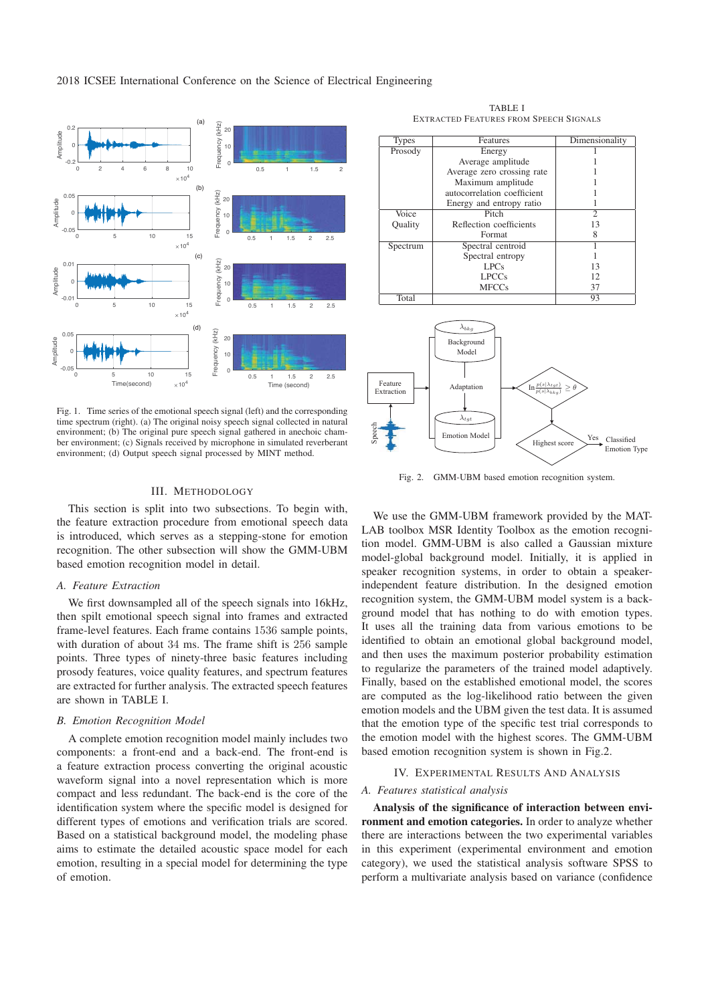

Fig. 1. Time series of the emotional speech signal (left) and the corresponding time spectrum (right). (a) The original noisy speech signal collected in natural environment; (b) The original pure speech signal gathered in anechoic chamber environment; (c) Signals received by microphone in simulated reverberant environment; (d) Output speech signal processed by MINT method.

TABLE I EXTRACTED FEATURES FROM SPEECH SIGNALS

Types Features Dimensionality<br>Prosody Energy 1 Energy

autocorrelation coefficient

Voice Pitch 2 Quality Reflection coefficients 13<br>
Format 8 Format Spectrum Spectral centroid 1<br>Spectral entropy 1

Average amplitude 1 Average zero crossing rate 1 Maximum amplitude 1<br>tocorrelation coefficient 1

Energy and entropy ratio 1<br>Pitch 2

 $\frac{Spectral \ entropy}{LPCs}$  1  $LPCs$  13<br> $LPCCs$  12 LPCCs 12<br>MFCCs 37



#### III. METHODOLOGY

This section is split into two subsections. To begin with, the feature extraction procedure from emotional speech data is introduced, which serves as a stepping-stone for emotion recognition. The other subsection will show the GMM-UBM based emotion recognition model in detail.

### *A. Feature Extraction*

We first downsampled all of the speech signals into 16kHz, then spilt emotional speech signal into frames and extracted frame-level features. Each frame contains 1536 sample points, with duration of about 34 ms. The frame shift is 256 sample points. Three types of ninety-three basic features including prosody features, voice quality features, and spectrum features are extracted for further analysis. The extracted speech features are shown in TABLE I.

#### *B. Emotion Recognition Model*

A complete emotion recognition model mainly includes two components: a front-end and a back-end. The front-end is a feature extraction process converting the original acoustic waveform signal into a novel representation which is more compact and less redundant. The back-end is the core of the identification system where the specific model is designed for different types of emotions and verification trials are scored. Based on a statistical background model, the modeling phase aims to estimate the detailed acoustic space model for each emotion, resulting in a special model for determining the type of emotion.

Fig. 2. GMM-UBM based emotion recognition system.

We use the GMM-UBM framework provided by the MAT-LAB toolbox MSR Identity Toolbox as the emotion recognition model. GMM-UBM is also called a Gaussian mixture model-global background model. Initially, it is applied in speaker recognition systems, in order to obtain a speakerindependent feature distribution. In the designed emotion recognition system, the GMM-UBM model system is a background model that has nothing to do with emotion types. It uses all the training data from various emotions to be identified to obtain an emotional global background model, and then uses the maximum posterior probability estimation to regularize the parameters of the trained model adaptively. Finally, based on the established emotional model, the scores are computed as the log-likelihood ratio between the given emotion models and the UBM given the test data. It is assumed that the emotion type of the specific test trial corresponds to the emotion model with the highest scores. The GMM-UBM based emotion recognition system is shown in Fig.2.

# IV. EXPERIMENTAL RESULTS AND ANALYSIS

# *A. Features statistical analysis*

Analysis of the significance of interaction between environment and emotion categories. In order to analyze whether there are interactions between the two experimental variables in this experiment (experimental environment and emotion category), we used the statistical analysis software SPSS to perform a multivariate analysis based on variance (confidence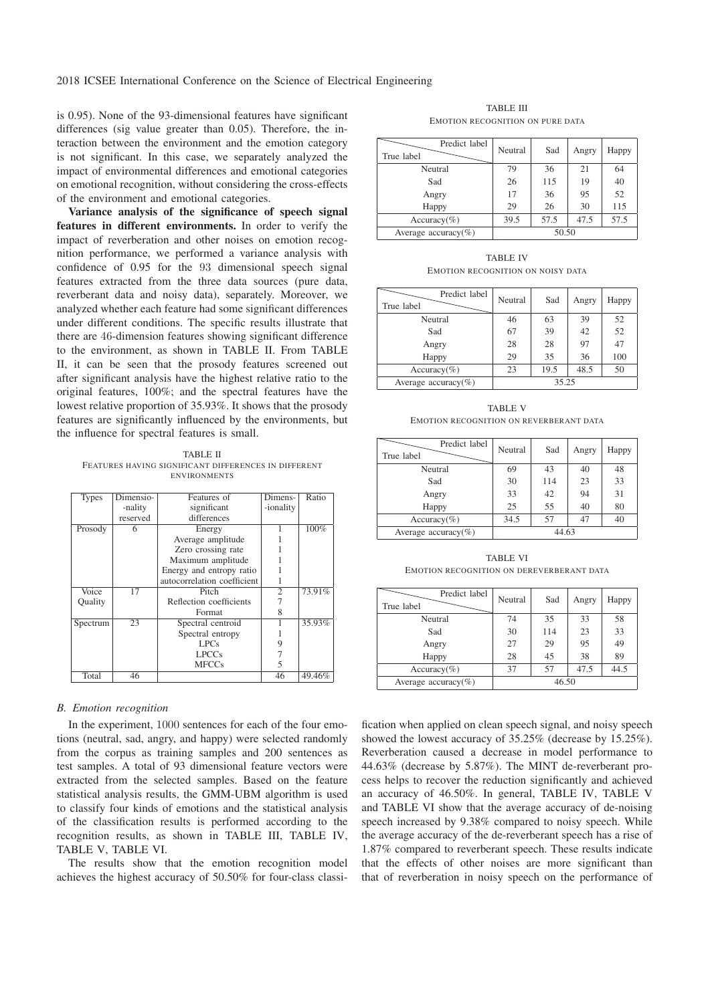2018 ICSEE International Conference on the Science of Electrical Engineering

is 0.95). None of the 93-dimensional features have significant differences (sig value greater than 0.05). Therefore, the interaction between the environment and the emotion category is not significant. In this case, we separately analyzed the impact of environmental differences and emotional categories on emotional recognition, without considering the cross-effects of the environment and emotional categories.

Variance analysis of the significance of speech signal features in different environments. In order to verify the impact of reverberation and other noises on emotion recognition performance, we performed a variance analysis with confidence of 0.95 for the 93 dimensional speech signal features extracted from the three data sources (pure data, reverberant data and noisy data), separately. Moreover, we analyzed whether each feature had some significant differences under different conditions. The specific results illustrate that there are 46-dimension features showing significant difference to the environment, as shown in TABLE II. From TABLE II, it can be seen that the prosody features screened out after significant analysis have the highest relative ratio to the original features, 100%; and the spectral features have the lowest relative proportion of 35.93%. It shows that the prosody features are significantly influenced by the environments, but the influence for spectral features is small.

TABLE II FEATURES HAVING SIGNIFICANT DIFFERENCES IN DIFFERENT ENVIRONMENTS

| <b>Types</b> | Dimensio- | Features of                 | Dimens-                  | Ratio  |
|--------------|-----------|-----------------------------|--------------------------|--------|
|              | -nality   | significant                 | -ionality                |        |
|              | reserved  | differences                 |                          |        |
| Prosody      | 6         | Energy                      |                          | 100%   |
|              |           | Average amplitude           |                          |        |
|              |           | Zero crossing rate          |                          |        |
|              |           | Maximum amplitude           |                          |        |
|              |           | Energy and entropy ratio    |                          |        |
|              |           | autocorrelation coefficient |                          |        |
| Voice        | 17        | Pitch                       | 2                        | 73.91% |
| Quality      |           | Reflection coefficients     |                          |        |
|              |           | Format                      | 8                        |        |
| Spectrum     | 23        | Spectral centroid           |                          | 35.93% |
|              |           | Spectral entropy            |                          |        |
|              |           | LPCs                        |                          |        |
|              |           | <b>LPCCs</b>                |                          |        |
|              |           | <b>MFCCs</b>                | $\overline{\phantom{0}}$ |        |
| Total        | 46        |                             | 46                       | 49.46% |

## *B. Emotion recognition*

In the experiment, 1000 sentences for each of the four emotions (neutral, sad, angry, and happy) were selected randomly from the corpus as training samples and 200 sentences as test samples. A total of 93 dimensional feature vectors were extracted from the selected samples. Based on the feature statistical analysis results, the GMM-UBM algorithm is used to classify four kinds of emotions and the statistical analysis of the classification results is performed according to the recognition results, as shown in TABLE III, TABLE IV, TABLE V, TABLE VI.

The results show that the emotion recognition model achieves the highest accuracy of 50.50% for four-class classi-

TABLE III EMOTION RECOGNITION ON PURE DATA

| Predict label<br>True label | Neutral | Sad  | Angry | Happy |
|-----------------------------|---------|------|-------|-------|
| Neutral                     | 79      | 36   | 21    | 64    |
| Sad                         | 26      | 115  | 19    | 40    |
| Angry                       | 17      | 36   | 95    | 52    |
| Happy                       | 29      | 26   | 30    | 115   |
| $Accuracy(\%)$              | 39.5    | 57.5 | 47.5  | 57.5  |
| Average accuracy( $\%$ )    | 50.50   |      |       |       |

TABLE IV EMOTION RECOGNITION ON NOISY DATA

| Predict label<br>True label | Neutral | Sad  | Angry | Happy |
|-----------------------------|---------|------|-------|-------|
| Neutral                     | 46      | 63   | 39    | 52    |
| Sad                         | 67      | 39   | 42    | 52    |
| Angry                       | 28      | 28   | 97    | 47    |
| Happy                       | 29      | 35   | 36    | 100   |
| $Accuracy(\%)$              | 23      | 19.5 | 48.5  | 50    |
| Average accuracy( $\%$ )    | 35.25   |      |       |       |

| <b>TABLE V</b>                          |  |  |  |  |
|-----------------------------------------|--|--|--|--|
| EMOTION RECOGNITION ON REVERBERANT DATA |  |  |  |  |

| Predict label<br>True label | Neutral | Sad | Angry | Happy |
|-----------------------------|---------|-----|-------|-------|
| Neutral                     | 69      | 43  | 40    | 48    |
| Sad                         | 30      | 114 | 23    | 33    |
| Angry                       | 33      | 42  | 94    | 31    |
| Happy                       | 25      | 55  | 40    | 80    |
| $Accuracy(\%)$              | 34.5    | 57  | 47    | 40    |
| Average accuracy(%)         | 44.63   |     |       |       |

TABLE VI EMOTION RECOGNITION ON DEREVERBERANT DATA

| Predict label<br>True label | Neutral | Sad | Angry | Happy |
|-----------------------------|---------|-----|-------|-------|
| Neutral                     | 74      | 35  | 33    | 58    |
| Sad                         | 30      | 114 | 23    | 33    |
| Angry                       | 27      | 29  | 95    | 49    |
| Happy                       | 28      | 45  | 38    | 89    |
| $Accuracy(\%)$              | 37      | 57  | 47.5  | 44.5  |
| Average accuracy $(\% )$    | 46.50   |     |       |       |

fication when applied on clean speech signal, and noisy speech showed the lowest accuracy of 35.25% (decrease by 15.25%). Reverberation caused a decrease in model performance to 44.63% (decrease by 5.87%). The MINT de-reverberant process helps to recover the reduction significantly and achieved an accuracy of 46.50%. In general, TABLE IV, TABLE V and TABLE VI show that the average accuracy of de-noising speech increased by 9.38% compared to noisy speech. While the average accuracy of the de-reverberant speech has a rise of 1.87% compared to reverberant speech. These results indicate that the effects of other noises are more significant than that of reverberation in noisy speech on the performance of